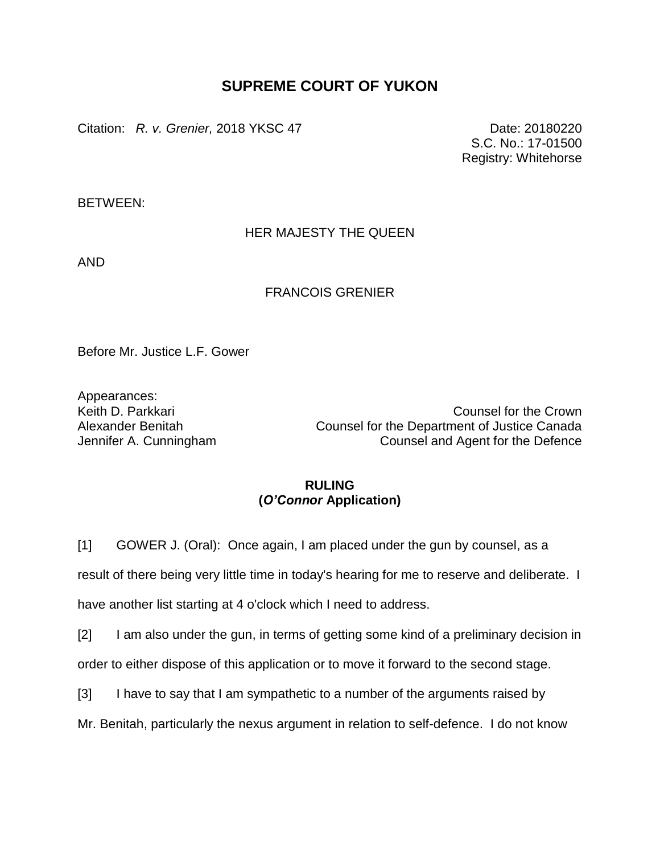## **SUPREME COURT OF YUKON**

Citation: *R. v. Grenier*, 2018 YKSC 47 Date: 20180220

S.C. No.: 17-01500 Registry: Whitehorse

BETWEEN:

## HER MAJESTY THE QUEEN

AND

## FRANCOIS GRENIER

Before Mr. Justice L.F. Gower

Appearances:

Keith D. Parkkari Counsel for the Crown Alexander Benitah Counsel for the Department of Justice Canada Jennifer A. Cunningham Counsel and Agent for the Defence

## **RULING (***O'Connor* **Application)**

[1] GOWER J. (Oral): Once again, I am placed under the gun by counsel, as a result of there being very little time in today's hearing for me to reserve and deliberate. I have another list starting at 4 o'clock which I need to address.

[2] I am also under the gun, in terms of getting some kind of a preliminary decision in

order to either dispose of this application or to move it forward to the second stage.

[3] I have to say that I am sympathetic to a number of the arguments raised by

Mr. Benitah, particularly the nexus argument in relation to self-defence. I do not know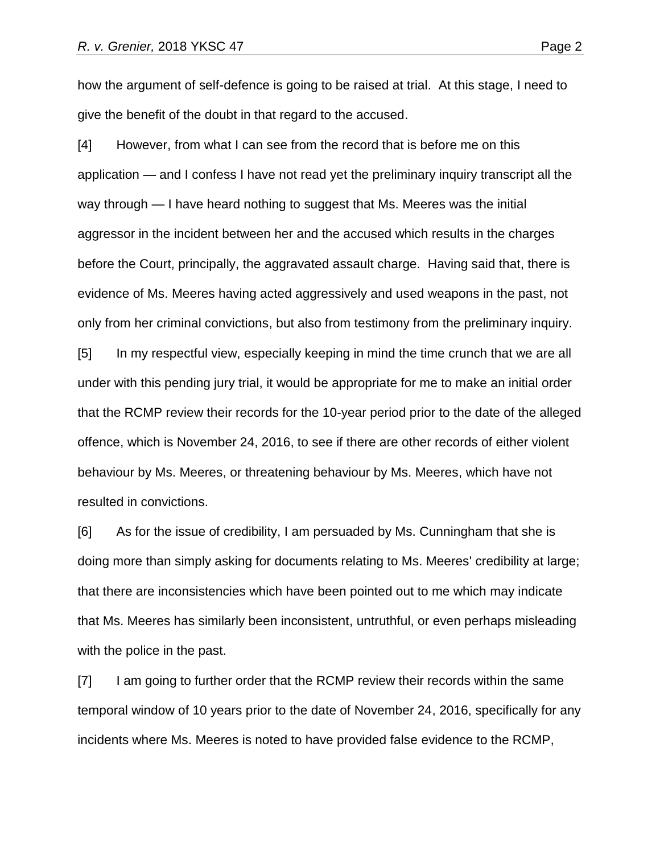how the argument of self-defence is going to be raised at trial. At this stage, I need to give the benefit of the doubt in that regard to the accused.

[4] However, from what I can see from the record that is before me on this application — and I confess I have not read yet the preliminary inquiry transcript all the way through — I have heard nothing to suggest that Ms. Meeres was the initial aggressor in the incident between her and the accused which results in the charges before the Court, principally, the aggravated assault charge. Having said that, there is evidence of Ms. Meeres having acted aggressively and used weapons in the past, not only from her criminal convictions, but also from testimony from the preliminary inquiry. [5] In my respectful view, especially keeping in mind the time crunch that we are all under with this pending jury trial, it would be appropriate for me to make an initial order that the RCMP review their records for the 10-year period prior to the date of the alleged offence, which is November 24, 2016, to see if there are other records of either violent behaviour by Ms. Meeres, or threatening behaviour by Ms. Meeres, which have not resulted in convictions.

[6] As for the issue of credibility, I am persuaded by Ms. Cunningham that she is doing more than simply asking for documents relating to Ms. Meeres' credibility at large; that there are inconsistencies which have been pointed out to me which may indicate that Ms. Meeres has similarly been inconsistent, untruthful, or even perhaps misleading with the police in the past.

[7] I am going to further order that the RCMP review their records within the same temporal window of 10 years prior to the date of November 24, 2016, specifically for any incidents where Ms. Meeres is noted to have provided false evidence to the RCMP,